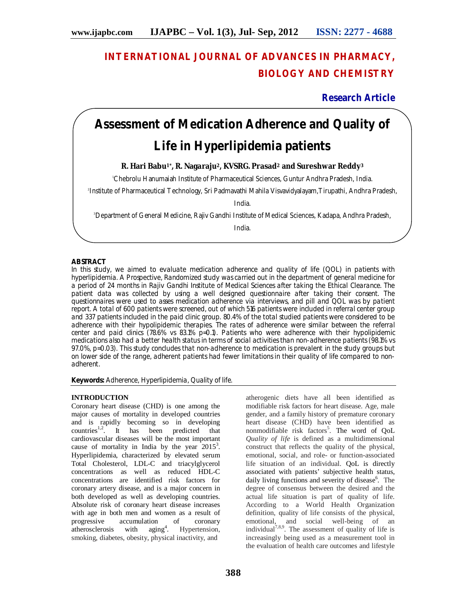# **INTERNATIONAL JOURNAL OF ADVANCES IN PHARMACY, BIOLOGY AND CHEMISTRY**

**Research Article**

# **Assessment of Medication Adherence and Quality of Life in Hyperlipidemia patients**

**R. Hari Babu1\*, R. Nagaraju2, KVSRG. Prasad<sup>2</sup> and Sureshwar Reddy<sup>3</sup>**

<sup>1</sup>Chebrolu Hanumaiah Institute of Pharmaceutical Sciences, Guntur Andhra Pradesh, India.

2 Institute of Pharmaceutical Technology, Sri Padmavathi Mahila Visvavidyalayam,Tirupathi, Andhra Pradesh,

India.

<sup>3</sup>Department of General Medicine, Rajiv Gandhi Institute of Medical Sciences, Kadapa, Andhra Pradesh,

India.

# **ABSTRACT**

In this study, we aimed to evaluate medication adherence and quality of life (QOL) in patients with hyperlipidemia. A Prospective, Randomized study was carried out in the department of general medicine for a period of 24 months in Rajiv Gandhi Institute of Medical Sciences after taking the Ethical Clearance. The patient data was collected by using a well designed questionnaire after taking their consent. The questionnaires were used to asses medication adherence via interviews, and pill and QOL was by patient report. A total of 600 patients were screened, out of which 516 patients were included in referral center group and 337 patients included in the paid clinic group. 80.4% of the total studied patients were considered to be adherence with their hypolipidemic therapies. The rates of adherence were similar between the referral center and paid clinics (78.6% vs 83.1% p=0.1). Patients who were adherence with their hypolipidemic medications also had a better health status in terms of social activities than non-adherence patients (98.1% vs 97.0%, p=0.03). This study concludes that non-adherence to medication is prevalent in the study groups but on lower side of the range, adherent patients had fewer limitations in their quality of life compared to nonadherent.

**Keywords:** Adherence, Hyperlipidemia, Quality of life.

# **INTRODUCTION**

Coronary heart disease (CHD) is one among the major causes of mortality in developed countries and is rapidly becoming so in developing countries<sup>1,2</sup>. It has been predicted that cardiovascular diseases will be the most important cause of mortality in India by the year  $2015^3$ . Hyperlipidemia, characterized by elevated serum Total Cholesterol, LDL-C and triacylglycerol concentrations as well as reduced HDL-C concentrations are identified risk factors for coronary artery disease, and is a major concern in both developed as well as developing countries. Absolute risk of coronary heart disease increases with age in both men and women as a result of progressive accumulation of coronary atherosclerosis with  $\text{aging}^4$ . . Hypertension, smoking, diabetes, obesity, physical inactivity, and

atherogenic diets have all been identified as modifiable risk factors for heart disease. Age, male gender, and a family history of premature coronary heart disease (CHD) have been identified as nonmodifiable risk factors<sup>5</sup>. The word of QoL *Quality of life* is defined as a multidimensional construct that reflects the quality of the physical, emotional, social, and role- or function-associated life situation of an individual. QoL is directly associated with patients' subjective health status, daily living functions and severity of disease<sup>6</sup>. The degree of consensus between the desired and the actual life situation is part of quality of life. According to a World Health Organization definition, quality of life consists of the physical, emotional, and social well-being of an individual<sup>7,8,9</sup>. The assessment of quality of life is increasingly being used as a measurement tool in the evaluation of health care outcomes and lifestyle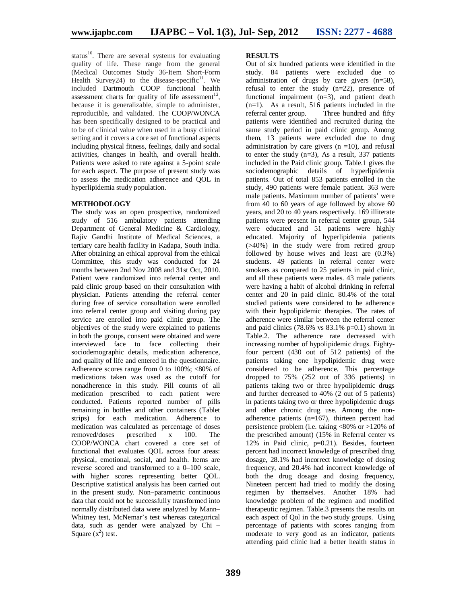status<sup>10</sup>. There are several systems for evaluating quality of life. These range from the general (Medical Outcomes Study 36-Item Short-Form Health Survey24) to the disease-specific $11$ . We included Dartmouth COOP functional health assessment charts for quality of life assessment<sup>12</sup>, because it is generalizable, simple to administer, reproducible, and validated. The COOP/WONCA has been specifically designed to be practical and to be of clinical value when used in a busy clinical setting and it covers a core set of functional aspects including physical fitness, feelings, daily and social activities, changes in health, and overall health. Patients were asked to rate against a 5-point scale for each aspect. The purpose of present study was to assess the medication adherence and QOL in hyperlipidemia study population.

# **METHODOLOGY**

The study was an open prospective, randomized study of 516 ambulatory patients attending Department of General Medicine & Cardiology, Rajiv Gandhi Institute of Medical Sciences, a tertiary care health facility in Kadapa, South India. After obtaining an ethical approval from the ethical Committee, this study was conducted for 24 months between 2nd Nov 2008 and 31st Oct, 2010. Patient were randomized into referral center and paid clinic group based on their consultation with physician. Patients attending the referral center during free of service consultation were enrolled into referral center group and visiting during pay service are enrolled into paid clinic group. The objectives of the study were explained to patients in both the groups, consent were obtained and were interviewed face to face collecting their sociodemographic details, medication adherence, and quality of life and entered in the questionnaire. Adherence scores range from 0 to  $100\%$ ; <80% of medications taken was used as the cutoff for nonadherence in this study. Pill counts of all medication prescribed to each patient were conducted. Patients reported number of pills remaining in bottles and other containers (Tablet strips) for each medication. Adherence to medication was calculated as percentage of doses removed/doses prescribed x 100. The COOP/WONCA chart covered a core set of functional that evaluates QOL across four areas: physical, emotional, social, and health. Items are reverse scored and transformed to a 0–100 scale, with higher scores representing better QOL. Descriptive statistical analysis has been carried out in the present study. Non–parametric continuous data that could not be successfully transformed into normally distributed data were analyzed by Mann– Whitney test, McNemar's test whereas categorical data, such as gender were analyzed by Chi – Square  $(x^2)$  test.

# **RESULTS**

Out of six hundred patients were identified in the study. 84 patients were excluded due to administration of drugs by care givers (n=58), refusal to enter the study  $(n=22)$ , presence of functional impairment  $(n=3)$ , and patient death  $(n=1)$ . As a result, 516 patients included in the referral center group. Three hundred and fifty Three hundred and fifty patients were identified and recruited during the same study period in paid clinic group. Among them, 13 patients were excluded due to drug administration by care givers  $(n = 10)$ , and refusal to enter the study  $(n=3)$ , As a result, 337 patients included in the Paid clinic group. Table.1 gives the sociodemographic details of hyperlipidemia patients. Out of total 853 patients enrolled in the study, 490 patients were female patient. 363 were male patients. Maximum number of patients' were from 40 to 60 years of age followed by above 60 years, and 20 to 40 years respectively. 169 illiterate patients were present in referral center group, 544 were educated and 51 patients were highly educated. Majority of hyperlipidemia patients (>40%) in the study were from retired group followed by house wives and least are  $(0.3\%)$ students. 49 patients in referral center were smokers as compared to 25 patients in paid clinic. and all these patients were males. 43 male patients were having a habit of alcohol drinking in referral center and 20 in paid clinic. 80.4% of the total studied patients were considered to be adherence with their hypolipidemic therapies. The rates of adherence were similar between the referral center and paid clinics  $(78.6\% \text{ vs } 83.1\% \text{ p=0.1})$  shown in Table.2. The adherence rate decreased with increasing number of hypolipidemic drugs. Eightyfour percent (430 out of 512 patients) of the patients taking one hypolipidemic drug were considered to be adherence. This percentage dropped to 75% (252 out of 336 patients) in patients taking two or three hypolipidemic drugs and further decreased to 40% (2 out of 5 patients) in patients taking two or three hypolipidemic drugs and other chronic drug use. Among the nonadherence patients (n=167), thirteen percent had persistence problem (i.e. taking <80% or >120% of the prescribed amount) (15% in Referral center vs 12% in Paid clinic, p=0.21). Besides, fourteen percent had incorrect knowledge of prescribed drug dosage, 28.1% had incorrect knowledge of dosing frequency, and 20.4% had incorrect knowledge of both the drug dosage and dosing frequency, Nineteen percent had tried to modify the dosing regimen by themselves. Another 18% had knowledge problem of the regimen and modified therapeutic regimen. Table.3 presents the results on each aspect of Qol in the two study groups. Using percentage of patients with scores ranging from moderate to very good as an indicator, patients attending paid clinic had a better health status in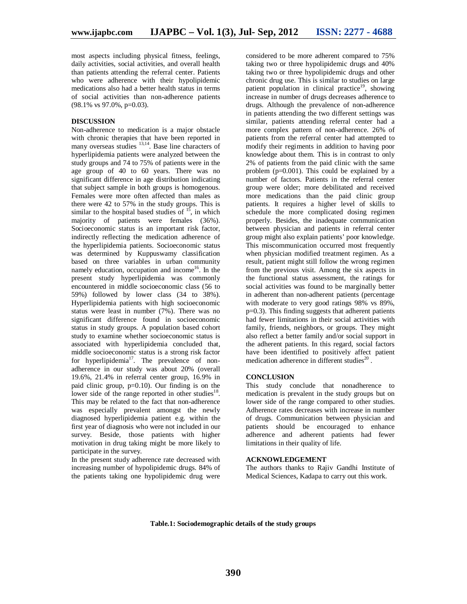most aspects including physical fitness, feelings, daily activities, social activities, and overall health than patients attending the referral center. Patients who were adherence with their hypolipidemic medications also had a better health status in terms of social activities than non-adherence patients (98.1% vs 97.0%, p=0.03).

### **DISCUSSION**

Non-adherence to medication is a major obstacle with chronic therapies that have been reported in many overseas studies <sup>13,14</sup>. Base line characters of hyperlipidemia patients were analyzed between the study groups and 74 to 75% of patients were in the age group of 40 to 60 years. There was no significant difference in age distribution indicating that subject sample in both groups is homogenous. Females were more often affected than males as there were 42 to 57% in the study groups. This is similar to the hospital based studies of  $1<sup>5</sup>$ , in which majority of patients were females (36%). Socioeconomic status is an important risk factor, indirectly reflecting the medication adherence of the hyperlipidemia patients. Socioeconomic status was determined by Kuppuswamy classification based on three variables in urban community namely education, occupation and income<sup>16</sup>. In the present study hyperlipidemia was commonly encountered in middle socioeconomic class (56 to 59%) followed by lower class (34 to 38%). Hyperlipidemia patients with high socioeconomic status were least in number (7%). There was no significant difference found in socioeconomic status in study groups. A population based cohort study to examine whether socioeconomic status is associated with hyperlipidemia concluded that, middle socioeconomic status is a strong risk factor for hyperlipidemia<sup>17</sup>. The prevalence of nonadherence in our study was about 20% (overall 19.6%, 21.4% in referral center group, 16.9% in paid clinic group, p=0.10). Our finding is on the lower side of the range reported in other studies $^{18}$ . This may be related to the fact that non-adherence was especially prevalent amongst the newly diagnosed hyperlipidemia patient e.g. within the first year of diagnosis who were not included in our survey. Beside, those patients with higher motivation in drug taking might be more likely to participate in the survey.

In the present study adherence rate decreased with increasing number of hypolipidemic drugs. 84% of the patients taking one hypolipidemic drug were

considered to be more adherent compared to 75% taking two or three hypolipidemic drugs and 40% taking two or three hypolipidemic drugs and other chronic drug use. This is similar to studies on large patient population in clinical practice<sup>19</sup>, showing increase in number of drugs decreases adherence to drugs. Although the prevalence of non-adherence in patients attending the two different settings was similar, patients attending referral center had a more complex pattern of non-adherence. 26% of patients from the referral center had attempted to modify their regiments in addition to having poor knowledge about them. This is in contrast to only 2% of patients from the paid clinic with the same problem (p=0.001). This could be explained by a number of factors. Patients in the referral center group were older; more debilitated and received more medications than the paid clinic group patients. It requires a higher level of skills to schedule the more complicated dosing regimen properly. Besides, the inadequate communication between physician and patients in referral center group might also explain patients' poor knowledge. This miscommunication occurred most frequently when physician modified treatment regimen. As a result, patient might still follow the wrong regimen from the previous visit. Among the six aspects in the functional status assessment, the ratings for social activities was found to be marginally better in adherent than non-adherent patients (percentage with moderate to very good ratings 98% vs 89%, p=0.3). This finding suggests that adherent patients had fewer limitations in their social activities with family, friends, neighbors, or groups. They might also reflect a better family and/or social support in the adherent patients. In this regard, social factors have been identified to positively affect patient medication adherence in different studies<sup>20</sup>.

## **CONCLUSION**

This study conclude that nonadherence to medication is prevalent in the study groups but on lower side of the range compared to other studies. Adherence rates decreases with increase in number of drugs. Communication between physician and patients should be encouraged to enhance adherence and adherent patients had fewer limitations in their quality of life.

# **ACKNOWLEDGEMENT**

The authors thanks to Rajiv Gandhi Institute of Medical Sciences, Kadapa to carry out this work.

#### **Table.1: Sociodemographic details of the study groups**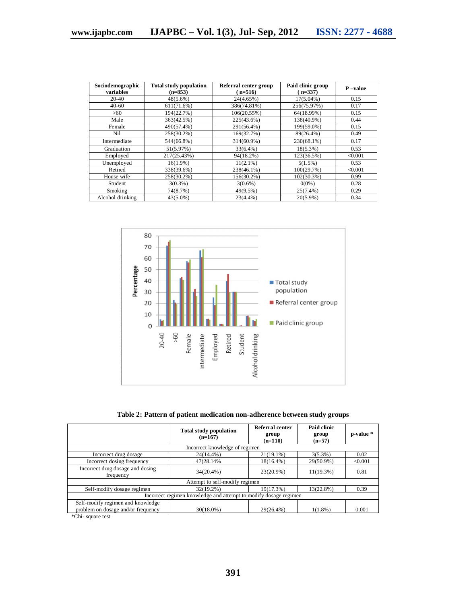| Sociodemographic<br>variables | <b>Total study population</b><br>$(n=853)$ | Referral center group<br>$(n=516)$ | Paid clinic group<br>$(n=337)$ | $P$ -value |
|-------------------------------|--------------------------------------------|------------------------------------|--------------------------------|------------|
| $20-40$                       | $48(5.6\%)$                                | 24(4.65%)                          | $17(5.04\%)$                   | 0.15       |
| $40 - 60$                     | 611(71.6%)                                 | 386(74.81%)                        | 256(75.97%)                    | 0.17       |
| >60                           | 194(22.7%)                                 | 106(20.55%)                        | 64(18.99%)                     | 0.15       |
| Male                          | 363(42.5%)                                 | 225(43.6%)                         | 138(40.9%)                     | 0.44       |
| Female                        | 490(57.4%)                                 | 291(56.4%)                         | 199(59.0%)                     | 0.15       |
| Nil                           | 258(30.2%)                                 | 169(32.7%)                         | 89(26.4%)                      | 0.49       |
| Intermediate                  | 544(66.8%)                                 | 314(60.9%)                         | 230(68.1%)                     | 0.17       |
| Graduation                    | 51(5.97%)                                  | $33(6.4\%)$                        | $18(5.3\%)$                    | 0.53       |
| Employed                      | 217(25.43%)                                | 94(18.2%)                          | 123(36.5%)                     | < 0.001    |
| Unemployed                    | $16(1.9\%)$                                | $11(2.1\%)$                        | 5(1.5%)                        | 0.53       |
| Retired                       | 338(39.6%)                                 | 238(46.1%)                         | 100(29.7%)                     | < 0.001    |
| House wife                    | 258(30.2%)                                 | 156(30.2%)                         | $102(30.3\%)$                  | 0.99       |
| Student                       | $3(0.3\%)$                                 | $3(0.6\%)$                         | $0(0\%)$                       | 0.28       |
| Smoking                       | 74(8.7%)                                   | 49(9.5%)                           | $25(7.4\%)$                    | 0.29       |
| Alcohol drinking              | $43(5.0\%)$                                | $23(4.4\%)$                        | $20(5.9\%)$                    | 0.34       |



**Table 2: Pattern of patient medication non-adherence between study groups**

|                                                                         | <b>Total study population</b><br>$(n=167)$ | Referral center<br>group<br>$(n=110)$ | Paid clinic<br>group<br>$(n=57)$ | p-value * |  |  |  |
|-------------------------------------------------------------------------|--------------------------------------------|---------------------------------------|----------------------------------|-----------|--|--|--|
| Incorrect knowledge of regimen                                          |                                            |                                       |                                  |           |  |  |  |
| Incorrect drug dosage                                                   | $24(14.4\%)$                               | $21(19.1\%)$                          | $3(5.3\%)$                       | 0.02      |  |  |  |
| Incorrect dosing frequency                                              | 47(28.14%)                                 | $18(16.4\%)$                          | 29(50.9%)                        | < 0.001   |  |  |  |
| Incorrect drug dosage and dosing<br>frequency                           | $34(20.4\%)$                               | 23(20.9%)                             | $11(19.3\%)$                     | 0.81      |  |  |  |
| Attempt to self-modify regimen                                          |                                            |                                       |                                  |           |  |  |  |
| Self-modify dosage regimen                                              | $32(19.2\%)$                               | 19(17.3%)                             | 13(22.8%)                        | 0.39      |  |  |  |
| Incorrect regimen knowledge and attempt to modify dosage regimen        |                                            |                                       |                                  |           |  |  |  |
| Self-modify regimen and knowledge<br>problem on dosage and/or frequency | $30(18.0\%)$                               | $29(26.4\%)$                          | $1(1.8\%)$                       | 0.001     |  |  |  |

\*Chi- square test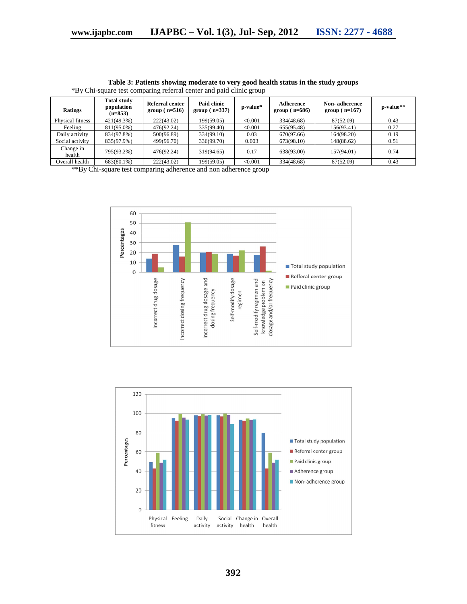| Ratings             | <b>Total study</b><br>population<br>$(n=853)$ | Referral center<br>$group(n=516)$ | Paid clinic<br>group $(n=337)$ | p-value* | Adherence<br>$group(n=686)$ | Non-adherence<br>$group(n=167)$ | p-value** |
|---------------------|-----------------------------------------------|-----------------------------------|--------------------------------|----------|-----------------------------|---------------------------------|-----------|
| Physical fitness    | $421(49.3\%)$                                 | 222(43.02)                        | 199(59.05)                     | < 0.001  | 334(48.68)                  | 87(52.09)                       | 0.43      |
| Feeling             | 811(95.0%)                                    | 476(92.24)                        | 335(99.40)                     | < 0.001  | 655(95.48)                  | 156(93.41)                      | 0.27      |
| Daily activity      | 834(97.8%)                                    | 500(96.89)                        | 334(99.10)                     | 0.03     | 670(97.66)                  | 164(98.20)                      | 0.19      |
| Social activity     | 835(97.9%)                                    | 499(96.70)                        | 336(99.70)                     | 0.003    | 673(98.10)                  | 148(88.62)                      | 0.51      |
| Change in<br>health | 795(93.2%)                                    | 476(92.24)                        | 319(94.65)                     | 0.17     | 638(93.00)                  | 157(94.01)                      | 0.74      |
| Overall health      | 683(80.1%)                                    | 222(43.02)                        | 199(59.05)                     | < 0.001  | 334(48.68)                  | 87(52.09)                       | 0.43      |

**Table 3: Patients showing moderate to very good health status in the study groups** \*By Chi-square test comparing referral center and paid clinic group

\*\*By Chi-square test comparing adherence and non adherence group